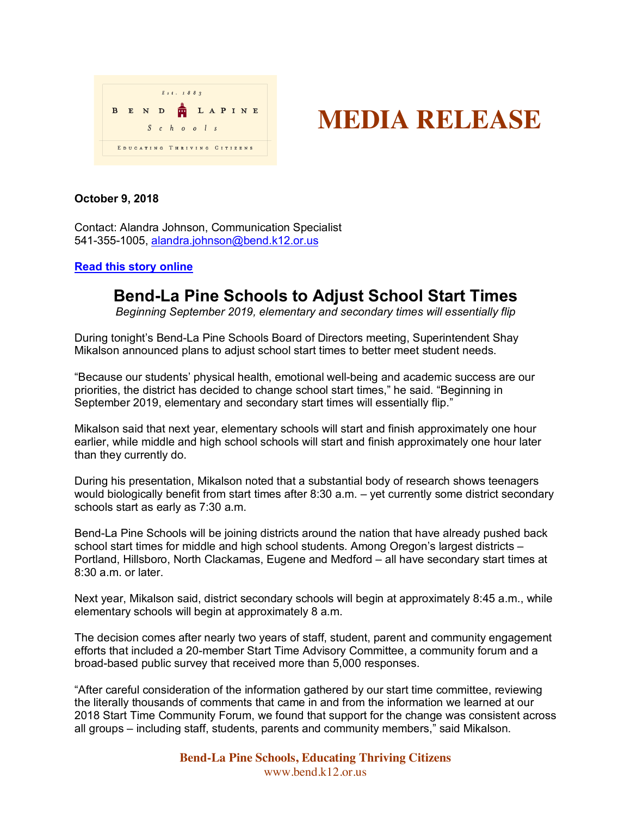

# **MEDIA RELEASE**

### **October 9, 2018**

Contact: Alandra Johnson, Communication Specialist 541-355-1005, alandra.johnson@bend.k12.or.us

#### **Read this story online**

## **Bend-La Pine Schools to Adjust School Start Times**

*Beginning September 2019, elementary and secondary times will essentially flip*

During tonight's Bend-La Pine Schools Board of Directors meeting, Superintendent Shay Mikalson announced plans to adjust school start times to better meet student needs.

"Because our students' physical health, emotional well-being and academic success are our priorities, the district has decided to change school start times," he said. "Beginning in September 2019, elementary and secondary start times will essentially flip."

Mikalson said that next year, elementary schools will start and finish approximately one hour earlier, while middle and high school schools will start and finish approximately one hour later than they currently do.

During his presentation, Mikalson noted that a substantial body of research shows teenagers would biologically benefit from start times after 8:30 a.m. – yet currently some district secondary schools start as early as 7:30 a.m.

Bend-La Pine Schools will be joining districts around the nation that have already pushed back school start times for middle and high school students. Among Oregon's largest districts – Portland, Hillsboro, North Clackamas, Eugene and Medford – all have secondary start times at 8:30 a.m. or later.

Next year, Mikalson said, district secondary schools will begin at approximately 8:45 a.m., while elementary schools will begin at approximately 8 a.m.

The decision comes after nearly two years of staff, student, parent and community engagement efforts that included a 20-member Start Time Advisory Committee, a community forum and a broad-based public survey that received more than 5,000 responses.

"After careful consideration of the information gathered by our start time committee, reviewing the literally thousands of comments that came in and from the information we learned at our 2018 Start Time Community Forum, we found that support for the change was consistent across all groups – including staff, students, parents and community members," said Mikalson.

> **Bend-La Pine Schools, Educating Thriving Citizens** www.bend.k12.or.us